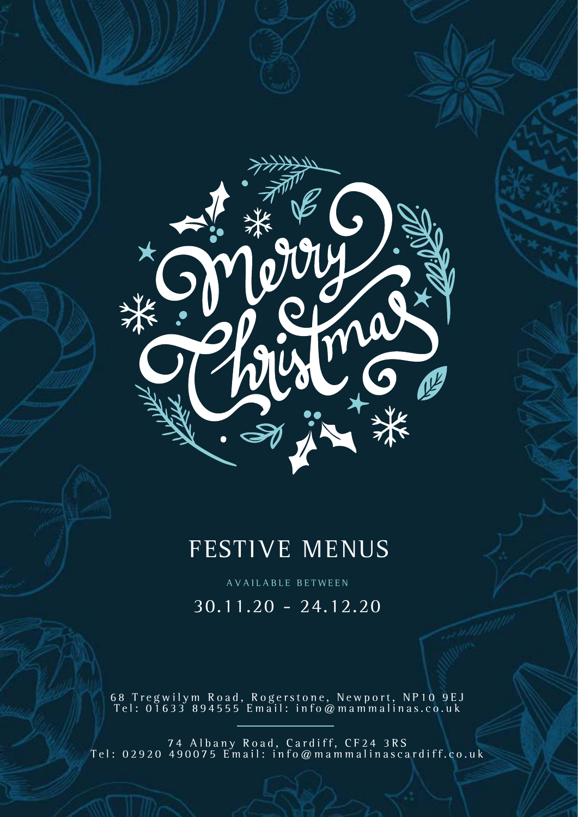

# FESTIVE MENUS

AVAILABLE BETWEEN

30.11.20 - 24.12.20

68 Tregwilym Road, Rogerstone, Newport, NP10 9EJ Tel: 01633 894555 Email: info@mammalinas.co.uk

74 Albany Road, Cardiff, CF24 3RS Tel: 02920 490075 Email: info@mammalinascardiff.co.uk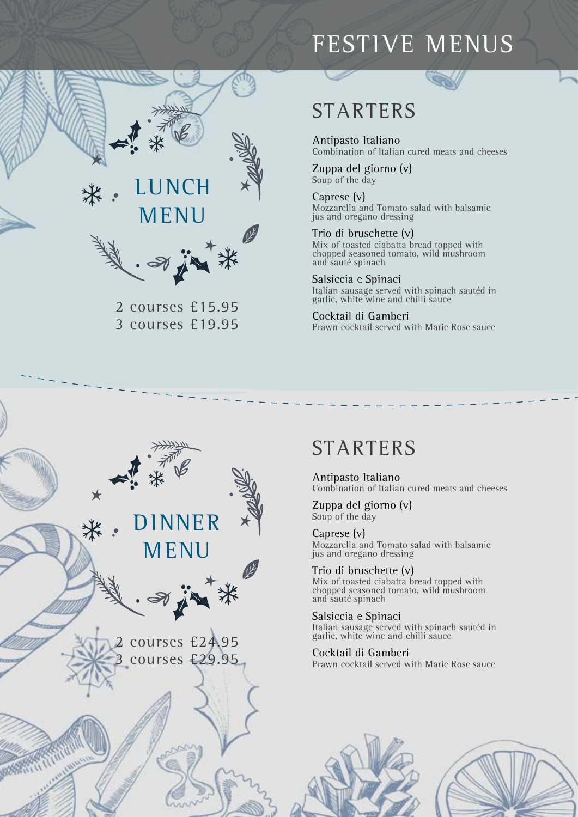## FESTIVE MENUS



2 courses £15.95 3 courses £19.95

### **STARTERS**

Antipasto Italiano Combination of Italian cured meats and cheeses

Zuppa del giorno (v) Soup of the day

Caprese (v) Mozzarella and Tomato salad with balsamic jus and oregano dressing

Trio di bruschette (v) Mix of toasted ciabatta bread topped with chopped seasoned tomato, wild mushroom and sauté spinach

Salsiccia e Spinaci Italian sausage served with spinach sautéd in garlic, white wine and chilli sauce

Cocktail di Gamberi Prawn cocktail served with Marie Rose sauce

## STARTERS

Antipasto Italiano Combination of Italian cured meats and cheeses

Zuppa del giorno (v) Soup of the day

Caprese (v) Mozzarella and Tomato salad with balsamic jus and oregano dressing

Trio di bruschette (v) Mix of toasted ciabatta bread topped with chopped seasoned tomato, wild mushroom and sauté spinach

Salsiccia e Spinaci Italian sausage served with spinach sautéd in garlic, white wine and chilli sauce

Cocktail di Gamberi Prawn cocktail served with Marie Rose sauce





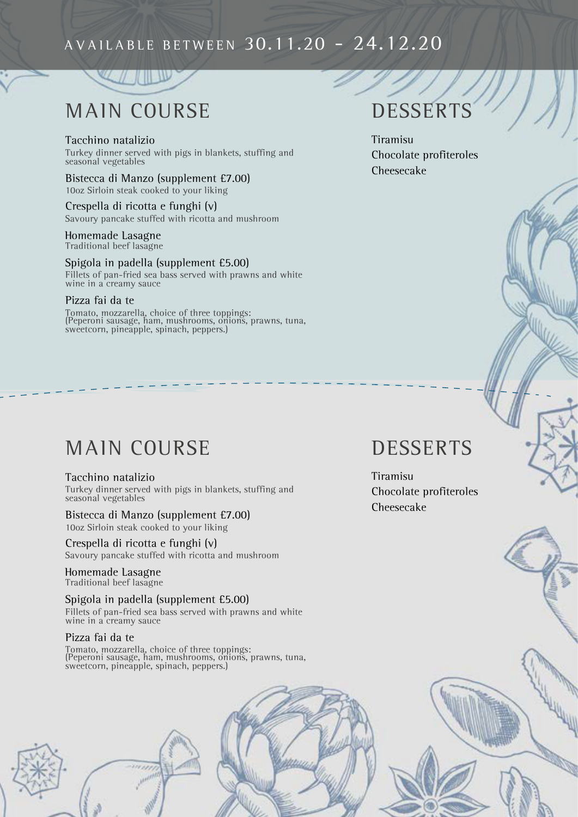### AVAILABLE BETWEEN 30.11.20 - 24.12.20

# MAIN COURSE

Tacchino natalizio Turkey dinner served with pigs in blankets, stuffing and seasonal vegetables

Bistecca di Manzo (supplement £7.00) 10oz Sirloin steak cooked to your liking

Crespella di ricotta e funghi (v) Savoury pancake stuffed with ricotta and mushroom

#### Homemade Lasagne Traditional beef lasagne

Spigola in padella (supplement £5.00) Fillets of pan-fried sea bass served with prawns and white wine in a creamy sauce

#### Pizza fai da te

Tomato, mozzarella, choice of three toppings: (Peperoni sausage, ham, mushrooms, onions, prawns, tuna, sweetcorn, pineapple, spinach, peppers.)

### MAIN COURSE

#### Tacchino natalizio

Turkey dinner served with pigs in blankets, stuffing and seasonal vegetables

Bistecca di Manzo (supplement £7.00) 10oz Sirloin steak cooked to your liking

Crespella di ricotta e funghi (v) Savoury pancake stuffed with ricotta and mushroom

Homemade Lasagne Traditional beef lasagne

Spigola in padella (supplement £5.00) Fillets of pan-fried sea bass served with prawns and white wine in a creamy sauce

#### Pizza fai da te

Tomato, mozzarella, choice of three toppings: (Peperoni sausage, ham, mushrooms, onions, prawns, tuna, sweetcorn, pineapple, spinach, peppers.)

## **DESSERTS**

Tiramisu Chocolate profiteroles Cheesecake

### **DESSERTS**

Tiramisu Chocolate profiteroles Cheesecake